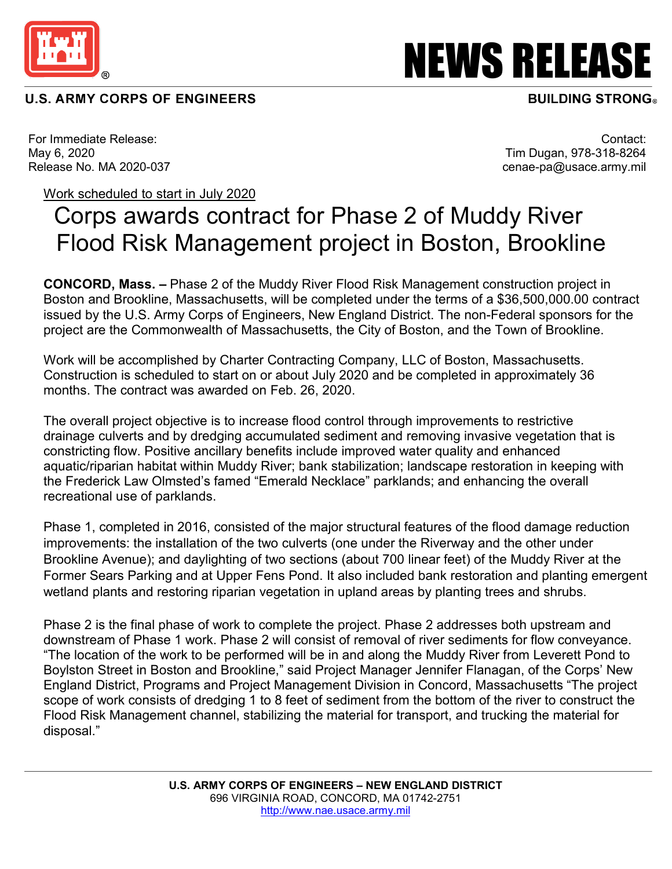

## **U.S. ARMY CORPS OF ENGINEERS**

NEWS RELEASE

## **BUILDING STRONG**

For Immediate Release: May 6, 2020 Release No. MA 2020-037

Contact: Tim Dugan, 978-318-8264 cenae-pa@usace.army.mil

## Work scheduled to start in July 2020

## Corps awards contract for Phase 2 of Muddy River Flood Risk Management project in Boston, Brookline

**CONCORD, Mass. –** Phase 2 of the Muddy River Flood Risk Management construction project in Boston and Brookline, Massachusetts, will be completed under the terms of a \$36,500,000.00 contract issued by the U.S. Army Corps of Engineers, New England District. The non-Federal sponsors for the project are the Commonwealth of Massachusetts, the City of Boston, and the Town of Brookline.

Work will be accomplished by Charter Contracting Company, LLC of Boston, Massachusetts. Construction is scheduled to start on or about July 2020 and be completed in approximately 36 months. The contract was awarded on Feb. 26, 2020.

The overall project objective is to increase flood control through improvements to restrictive drainage culverts and by dredging accumulated sediment and removing invasive vegetation that is constricting flow. Positive ancillary benefits include improved water quality and enhanced aquatic/riparian habitat within Muddy River; bank stabilization; landscape restoration in keeping with the Frederick Law Olmsted's famed "Emerald Necklace" parklands; and enhancing the overall recreational use of parklands.

Phase 1, completed in 2016, consisted of the major structural features of the flood damage reduction improvements: the installation of the two culverts (one under the Riverway and the other under Brookline Avenue); and daylighting of two sections (about 700 linear feet) of the Muddy River at the Former Sears Parking and at Upper Fens Pond. It also included bank restoration and planting emergent wetland plants and restoring riparian vegetation in upland areas by planting trees and shrubs.

Phase 2 is the final phase of work to complete the project. Phase 2 addresses both upstream and downstream of Phase 1 work. Phase 2 will consist of removal of river sediments for flow conveyance. "The location of the work to be performed will be in and along the Muddy River from Leverett Pond to Boylston Street in Boston and Brookline," said Project Manager Jennifer Flanagan, of the Corps' New England District, Programs and Project Management Division in Concord, Massachusetts "The project scope of work consists of dredging 1 to 8 feet of sediment from the bottom of the river to construct the Flood Risk Management channel, stabilizing the material for transport, and trucking the material for disposal."